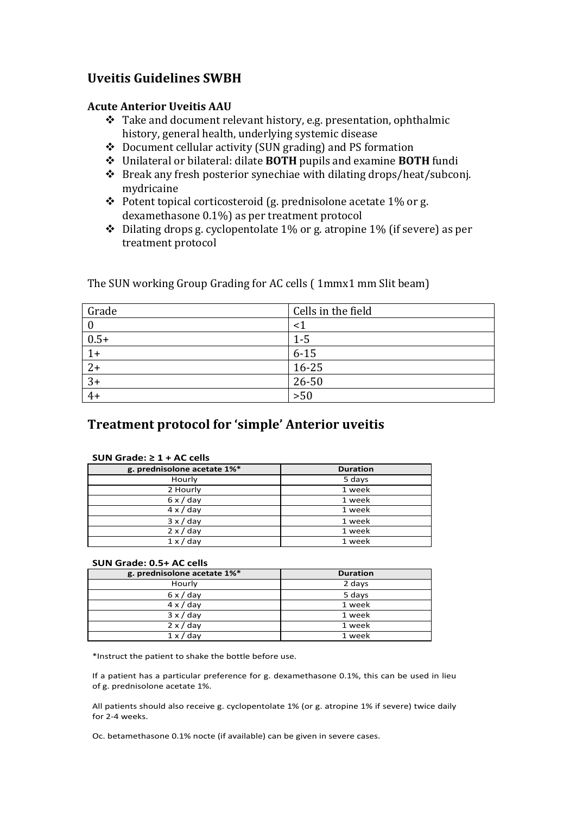# **Uveitis Guidelines SWBH**

#### **Acute Anterior Uveitis AAU**

- \* Take and document relevant history, e.g. presentation, ophthalmic history, general health, underlying systemic disease
- $\cdot$  Document cellular activity (SUN grading) and PS formation
- **❖** Unilateral or bilateral: dilate **BOTH** pupils and examine **BOTH** fundi
- $\cdot$  Break any fresh posterior synechiae with dilating drops/heat/subconj. mydricaine
- $\cdot$  Potent topical corticosteroid (g. prednisolone acetate 1% or g. dexamethasone 0.1%) as per treatment protocol
- $\cdot$  Dilating drops g. cyclopentolate 1% or g. atropine 1% (if severe) as per treatment protocol

| Grade  | Cells in the field |
|--------|--------------------|
|        |                    |
| $0.5+$ | $1 - 5$            |
| $1+$   | $6 - 15$           |
| $2+$   | $16 - 25$          |
| $3+$   | 26-50              |
| $4+$   | $>50$              |

The SUN working Group Grading for AC cells ( 1mmx1 mm Slit beam)

# **Treatment protocol for 'simple' Anterior uveitis**

|--|

| g. prednisolone acetate 1%* | <b>Duration</b> |
|-----------------------------|-----------------|
| Hourly                      | 5 days          |
| 2 Hourly                    | 1 week          |
| $6 \times /$ day            | 1 week          |
| $4 \times /$ day            | 1 week          |
| $3 \times /$ day            | 1 week          |
| $2 \times /$ day            | 1 week          |
| $1 \times /$ day            | 1 week          |

#### SUN Grade: 0.5+ AC cells

| g. prednisolone acetate 1%* | <b>Duration</b> |
|-----------------------------|-----------------|
| Hourly                      | 2 days          |
| $6 \times /$ day            | 5 days          |
| $4 \times /$ day            | 1 week          |
| $3 \times /$ day            | 1 week          |
| $2 \times /$ day            | 1 week          |
| $1 \times /$ day            | 1 week          |

\*Instruct the patient to shake the bottle before use.

If a patient has a particular preference for g. dexamethasone 0.1%, this can be used in lieu of g. prednisolone acetate 1%.

All patients should also receive g. cyclopentolate 1% (or g. atropine 1% if severe) twice daily for 2-4 weeks.

Oc. betamethasone 0.1% nocte (if available) can be given in severe cases.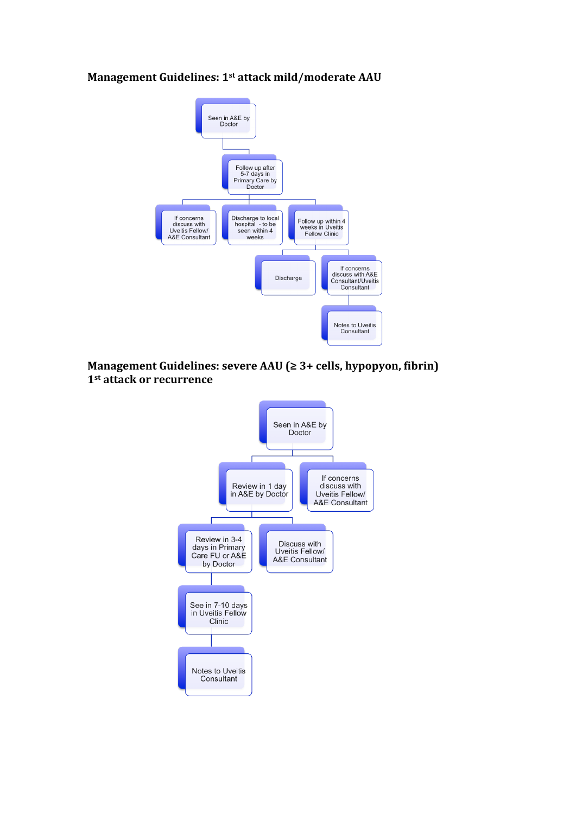#### **Management Guidelines: 1st attack mild/moderate AAU**



## **Management Guidelines: severe AAU (≥ 3+ cells, hypopyon, fibrin) 1st attack or recurrence**

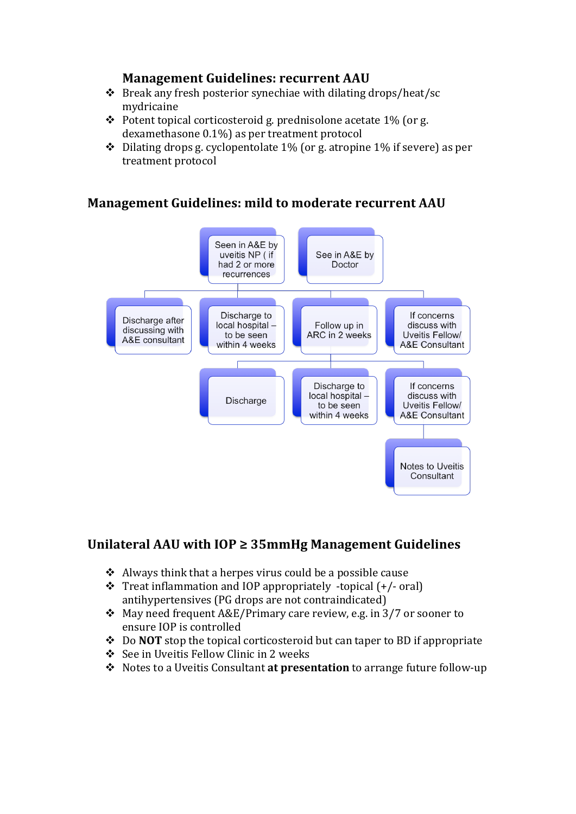## **Management Guidelines: recurrent AAU**

- $\cdot$  Break any fresh posterior synechiae with dilating drops/heat/sc mydricaine
- $\cdot$  Potent topical corticosteroid g. prednisolone acetate 1% (or g. dexamethasone  $0.1\%$  as per treatment protocol
- $\cdot$  Dilating drops g. cyclopentolate 1% (or g. atropine 1% if severe) as per treatment protocol

# **Management Guidelines: mild to moderate recurrent AAU**



# Unilateral AAU with IOP ≥ 35mmHg Management Guidelines

- $\triangleleft$  Always think that a herpes virus could be a possible cause
- $\cdot$  Treat inflammation and IOP appropriately -topical  $(+/- \text{oral})$ antihypertensives (PG drops are not contraindicated)
- $\cdot$  May need frequent A&E/Primary care review, e.g. in 3/7 or sooner to ensure IOP is controlled
- **→** Do **NOT** stop the topical corticosteroid but can taper to BD if appropriate
- ❖ See in Uveitis Fellow Clinic in 2 weeks
- **→** Notes to a Uveitis Consultant **at presentation** to arrange future follow-up